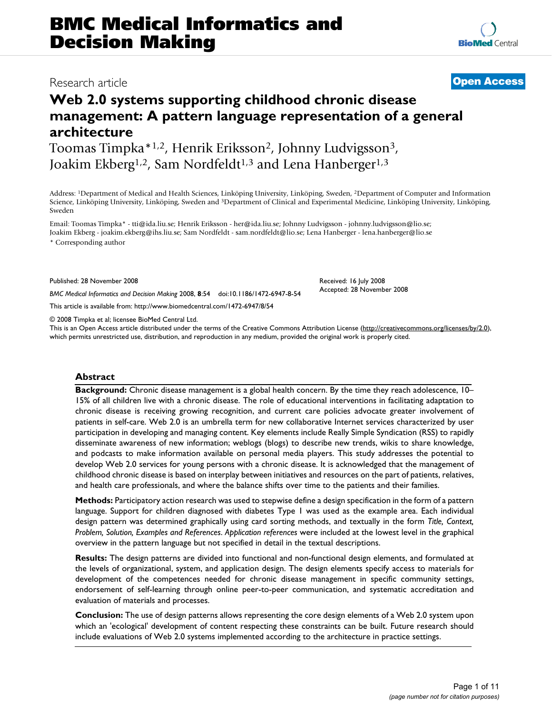# **Web 2.0 systems supporting childhood chronic disease management: A pattern language representation of a general architecture**

Toomas Timpka\*1,2, Henrik Eriksson2, Johnny Ludvigsson3, Joakim Ekberg<sup>1,2</sup>, Sam Nordfeldt<sup>1,3</sup> and Lena Hanberger<sup>1,3</sup>

Address: 1Department of Medical and Health Sciences, Linköping University, Linköping, Sweden, 2Department of Computer and Information Science, Linköping University, Linköping, Sweden and 3Department of Clinical and Experimental Medicine, Linköping University, Linköping, Sweden

Email: Toomas Timpka\* - tti@ida.liu.se; Henrik Eriksson - her@ida.liu.se; Johnny Ludvigsson - johnny.ludvigsson@lio.se; Joakim Ekberg - joakim.ekberg@ihs.liu.se; Sam Nordfeldt - sam.nordfeldt@lio.se; Lena Hanberger - lena.hanberger@lio.se \* Corresponding author

Published: 28 November 2008

*BMC Medical Informatics and Decision Making* 2008, **8**:54 doi:10.1186/1472-6947-8-54

[This article is available from: http://www.biomedcentral.com/1472-6947/8/54](http://www.biomedcentral.com/1472-6947/8/54)

© 2008 Timpka et al; licensee BioMed Central Ltd.

This is an Open Access article distributed under the terms of the Creative Commons Attribution License [\(http://creativecommons.org/licenses/by/2.0\)](http://creativecommons.org/licenses/by/2.0), which permits unrestricted use, distribution, and reproduction in any medium, provided the original work is properly cited.

#### **Abstract**

**Background:** Chronic disease management is a global health concern. By the time they reach adolescence, 10– 15% of all children live with a chronic disease. The role of educational interventions in facilitating adaptation to chronic disease is receiving growing recognition, and current care policies advocate greater involvement of patients in self-care. Web 2.0 is an umbrella term for new collaborative Internet services characterized by user participation in developing and managing content. Key elements include Really Simple Syndication (RSS) to rapidly disseminate awareness of new information; weblogs (blogs) to describe new trends, wikis to share knowledge, and podcasts to make information available on personal media players. This study addresses the potential to develop Web 2.0 services for young persons with a chronic disease. It is acknowledged that the management of childhood chronic disease is based on interplay between initiatives and resources on the part of patients, relatives, and health care professionals, and where the balance shifts over time to the patients and their families.

**Methods:** Participatory action research was used to stepwise define a design specification in the form of a pattern language. Support for children diagnosed with diabetes Type 1 was used as the example area. Each individual design pattern was determined graphically using card sorting methods, and textually in the form *Title, Context, Problem, Solution, Examples and References*. *Application references* were included at the lowest level in the graphical overview in the pattern language but not specified in detail in the textual descriptions.

**Results:** The design patterns are divided into functional and non-functional design elements, and formulated at the levels of organizational, system, and application design. The design elements specify access to materials for development of the competences needed for chronic disease management in specific community settings, endorsement of self-learning through online peer-to-peer communication, and systematic accreditation and evaluation of materials and processes.

**Conclusion:** The use of design patterns allows representing the core design elements of a Web 2.0 system upon which an 'ecological' development of content respecting these constraints can be built. Future research should include evaluations of Web 2.0 systems implemented according to the architecture in practice settings.

# Research article **[Open Access](http://www.biomedcentral.com/info/about/charter/)**

Received: 16 July 2008 Accepted: 28 November 2008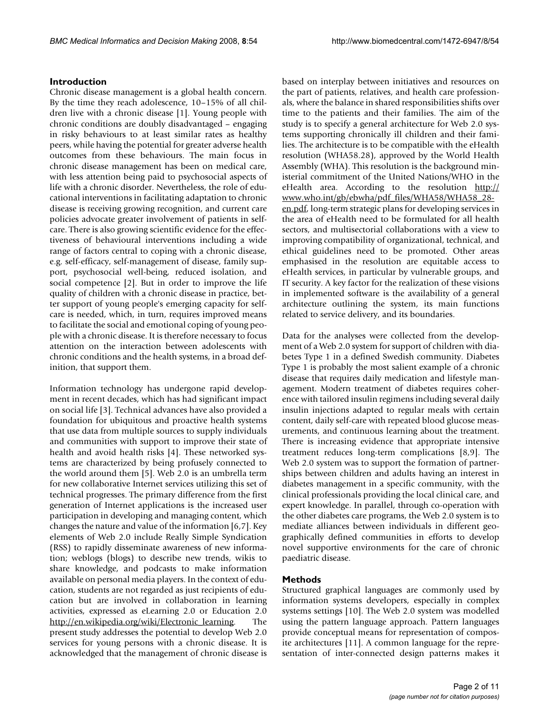#### **Introduction**

Chronic disease management is a global health concern. By the time they reach adolescence, 10–15% of all children live with a chronic disease [1]. Young people with chronic conditions are doubly disadvantaged – engaging in risky behaviours to at least similar rates as healthy peers, while having the potential for greater adverse health outcomes from these behaviours. The main focus in chronic disease management has been on medical care, with less attention being paid to psychosocial aspects of life with a chronic disorder. Nevertheless, the role of educational interventions in facilitating adaptation to chronic disease is receiving growing recognition, and current care policies advocate greater involvement of patients in selfcare. There is also growing scientific evidence for the effectiveness of behavioural interventions including a wide range of factors central to coping with a chronic disease, e.g. self-efficacy, self-management of disease, family support, psychosocial well-being, reduced isolation, and social competence [2]. But in order to improve the life quality of children with a chronic disease in practice, better support of young people's emerging capacity for selfcare is needed, which, in turn, requires improved means to facilitate the social and emotional coping of young people with a chronic disease. It is therefore necessary to focus attention on the interaction between adolescents with chronic conditions and the health systems, in a broad definition, that support them.

Information technology has undergone rapid development in recent decades, which has had significant impact on social life [3]. Technical advances have also provided a foundation for ubiquitous and proactive health systems that use data from multiple sources to supply individuals and communities with support to improve their state of health and avoid health risks [4]. These networked systems are characterized by being profusely connected to the world around them [5]. Web 2.0 is an umbrella term for new collaborative Internet services utilizing this set of technical progresses. The primary difference from the first generation of Internet applications is the increased user participation in developing and managing content, which changes the nature and value of the information [6,7]. Key elements of Web 2.0 include Really Simple Syndication (RSS) to rapidly disseminate awareness of new information; weblogs (blogs) to describe new trends, wikis to share knowledge, and podcasts to make information available on personal media players. In the context of education, students are not regarded as just recipients of education but are involved in collaboration in learning activities, expressed as eLearning 2.0 or Education 2.0 [http://en.wikipedia.org/wiki/Electronic\\_learning](http://en.wikipedia.org/wiki/Electronic_learning). The present study addresses the potential to develop Web 2.0 services for young persons with a chronic disease. It is acknowledged that the management of chronic disease is based on interplay between initiatives and resources on the part of patients, relatives, and health care professionals, where the balance in shared responsibilities shifts over time to the patients and their families. The aim of the study is to specify a general architecture for Web 2.0 systems supporting chronically ill children and their families. The architecture is to be compatible with the eHealth resolution (WHA58.28), approved by the World Health Assembly (WHA). This resolution is the background ministerial commitment of the United Nations/WHO in the eHealth area. According to the resolution [http://](http://www.who.int/gb/ebwha/pdf_files/WHA58/WHA58_28-en.pdf) [www.who.int/gb/ebwha/pdf\\_files/WHA58/WHA58\\_28](http://www.who.int/gb/ebwha/pdf_files/WHA58/WHA58_28-en.pdf) [en.pdf](http://www.who.int/gb/ebwha/pdf_files/WHA58/WHA58_28-en.pdf), long-term strategic plans for developing services in the area of eHealth need to be formulated for all health sectors, and multisectorial collaborations with a view to improving compatibility of organizational, technical, and ethical guidelines need to be promoted. Other areas emphasised in the resolution are equitable access to eHealth services, in particular by vulnerable groups, and IT security. A key factor for the realization of these visions in implemented software is the availability of a general architecture outlining the system, its main functions related to service delivery, and its boundaries.

Data for the analyses were collected from the development of a Web 2.0 system for support of children with diabetes Type 1 in a defined Swedish community. Diabetes Type 1 is probably the most salient example of a chronic disease that requires daily medication and lifestyle management. Modern treatment of diabetes requires coherence with tailored insulin regimens including several daily insulin injections adapted to regular meals with certain content, daily self-care with repeated blood glucose measurements, and continuous learning about the treatment. There is increasing evidence that appropriate intensive treatment reduces long-term complications [8,9]. The Web 2.0 system was to support the formation of partnerships between children and adults having an interest in diabetes management in a specific community, with the clinical professionals providing the local clinical care, and expert knowledge. In parallel, through co-operation with the other diabetes care programs, the Web 2.0 system is to mediate alliances between individuals in different geographically defined communities in efforts to develop novel supportive environments for the care of chronic paediatric disease.

#### **Methods**

Structured graphical languages are commonly used by information systems developers, especially in complex systems settings [10]. The Web 2.0 system was modelled using the pattern language approach. Pattern languages provide conceptual means for representation of composite architectures [11]. A common language for the representation of inter-connected design patterns makes it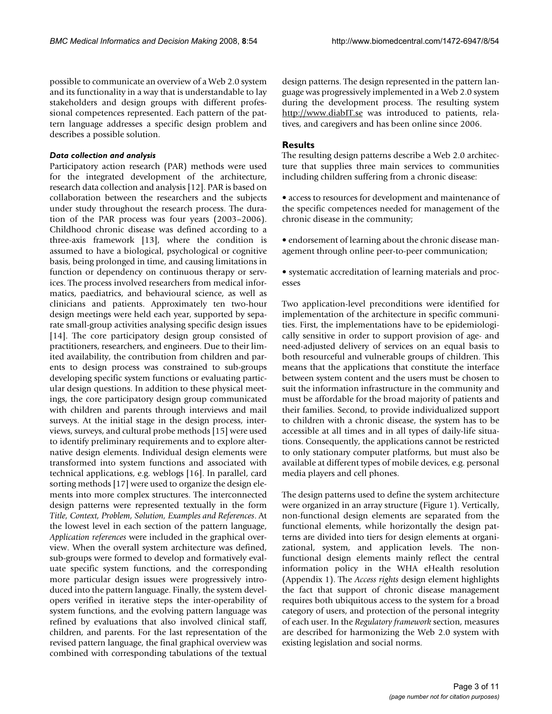possible to communicate an overview of a Web 2.0 system and its functionality in a way that is understandable to lay stakeholders and design groups with different professional competences represented. Each pattern of the pattern language addresses a specific design problem and describes a possible solution.

#### *Data collection and analysis*

Participatory action research (PAR) methods were used for the integrated development of the architecture, research data collection and analysis [12]. PAR is based on collaboration between the researchers and the subjects under study throughout the research process. The duration of the PAR process was four years (2003–2006). Childhood chronic disease was defined according to a three-axis framework [13], where the condition is assumed to have a biological, psychological or cognitive basis, being prolonged in time, and causing limitations in function or dependency on continuous therapy or services. The process involved researchers from medical informatics, paediatrics, and behavioural science, as well as clinicians and patients. Approximately ten two-hour design meetings were held each year, supported by separate small-group activities analysing specific design issues [14]. The core participatory design group consisted of practitioners, researchers, and engineers. Due to their limited availability, the contribution from children and parents to design process was constrained to sub-groups developing specific system functions or evaluating particular design questions. In addition to these physical meetings, the core participatory design group communicated with children and parents through interviews and mail surveys. At the initial stage in the design process, interviews, surveys, and cultural probe methods [15] were used to identify preliminary requirements and to explore alternative design elements. Individual design elements were transformed into system functions and associated with technical applications, e.g. weblogs [16]. In parallel, card sorting methods [17] were used to organize the design elements into more complex structures. The interconnected design patterns were represented textually in the form *Title, Context, Problem, Solution, Examples and References*. At the lowest level in each section of the pattern language, *Application references* were included in the graphical overview. When the overall system architecture was defined, sub-groups were formed to develop and formatively evaluate specific system functions, and the corresponding more particular design issues were progressively introduced into the pattern language. Finally, the system developers verified in iterative steps the inter-operability of system functions, and the evolving pattern language was refined by evaluations that also involved clinical staff, children, and parents. For the last representation of the revised pattern language, the final graphical overview was combined with corresponding tabulations of the textual

design patterns. The design represented in the pattern language was progressively implemented in a Web 2.0 system during the development process. The resulting system <http://www.diabIT.se> was introduced to patients, relatives, and caregivers and has been online since 2006.

#### **Results**

The resulting design patterns describe a Web 2.0 architecture that supplies three main services to communities including children suffering from a chronic disease:

• access to resources for development and maintenance of the specific competences needed for management of the chronic disease in the community;

• endorsement of learning about the chronic disease management through online peer-to-peer communication;

• systematic accreditation of learning materials and processes

Two application-level preconditions were identified for implementation of the architecture in specific communities. First, the implementations have to be epidemiologically sensitive in order to support provision of age- and need-adjusted delivery of services on an equal basis to both resourceful and vulnerable groups of children. This means that the applications that constitute the interface between system content and the users must be chosen to suit the information infrastructure in the community and must be affordable for the broad majority of patients and their families. Second, to provide individualized support to children with a chronic disease, the system has to be accessible at all times and in all types of daily-life situations. Consequently, the applications cannot be restricted to only stationary computer platforms, but must also be available at different types of mobile devices, e.g. personal media players and cell phones.

The design patterns used to define the system architecture were organized in an array structure (Figure 1). Vertically, non-functional design elements are separated from the functional elements, while horizontally the design patterns are divided into tiers for design elements at organizational, system, and application levels. The nonfunctional design elements mainly reflect the central information policy in the WHA eHealth resolution (Appendix 1). The *Access rights* design element highlights the fact that support of chronic disease management requires both ubiquitous access to the system for a broad category of users, and protection of the personal integrity of each user. In the *Regulatory framework* section, measures are described for harmonizing the Web 2.0 system with existing legislation and social norms.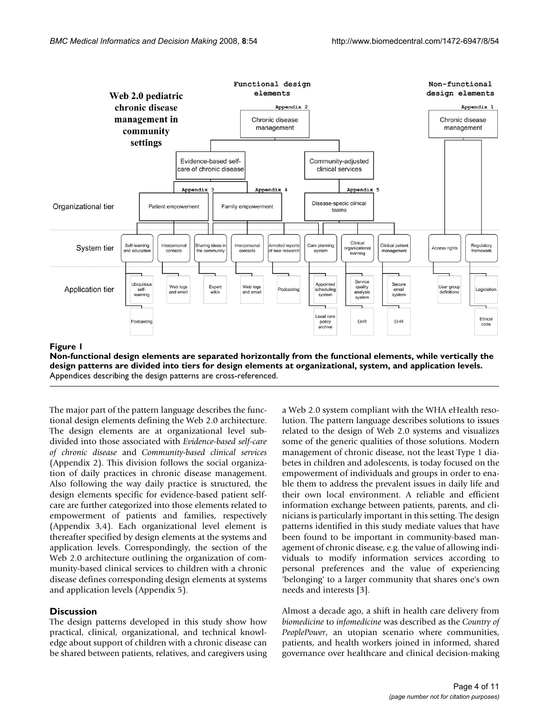

**Non-functional design elements are separated horizontally from the functional elements, while vertically the design patterns are divided into tiers for design elements at organizational, system, and application levels.** Appendices describing the design patterns are cross-referenced.

The major part of the pattern language describes the functional design elements defining the Web 2.0 architecture. The design elements are at organizational level subdivided into those associated with *Evidence-based self-care of chronic disease* and *Community-based clinical services* (Appendix 2). This division follows the social organization of daily practices in chronic disease management. Also following the way daily practice is structured, the design elements specific for evidence-based patient selfcare are further categorized into those elements related to empowerment of patients and families, respectively (Appendix 3,4). Each organizational level element is thereafter specified by design elements at the systems and application levels. Correspondingly, the section of the Web 2.0 architecture outlining the organization of community-based clinical services to children with a chronic disease defines corresponding design elements at systems and application levels (Appendix 5).

#### **Discussion**

The design patterns developed in this study show how practical, clinical, organizational, and technical knowledge about support of children with a chronic disease can be shared between patients, relatives, and caregivers using a Web 2.0 system compliant with the WHA eHealth resolution. The pattern language describes solutions to issues related to the design of Web 2.0 systems and visualizes some of the generic qualities of those solutions. Modern management of chronic disease, not the least Type 1 diabetes in children and adolescents, is today focused on the empowerment of individuals and groups in order to enable them to address the prevalent issues in daily life and their own local environment. A reliable and efficient information exchange between patients, parents, and clinicians is particularly important in this setting. The design patterns identified in this study mediate values that have been found to be important in community-based management of chronic disease, e.g. the value of allowing individuals to modify information services according to personal preferences and the value of experiencing 'belonging' to a larger community that shares one's own needs and interests [3].

Almost a decade ago, a shift in health care delivery from *biomedicine* to *infomedicine* was described as the *Country of PeoplePower*, an utopian scenario where communities, patients, and health workers joined in informed, shared governance over healthcare and clinical decision-making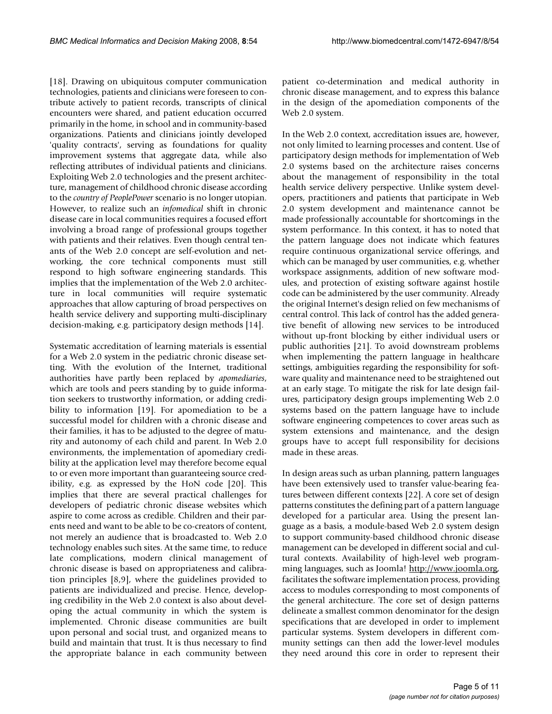[18]. Drawing on ubiquitous computer communication technologies, patients and clinicians were foreseen to contribute actively to patient records, transcripts of clinical encounters were shared, and patient education occurred primarily in the home, in school and in community-based organizations. Patients and clinicians jointly developed 'quality contracts', serving as foundations for quality improvement systems that aggregate data, while also reflecting attributes of individual patients and clinicians. Exploiting Web 2.0 technologies and the present architecture, management of childhood chronic disease according to the *country of PeoplePower* scenario is no longer utopian. However, to realize such an *infomedical* shift in chronic disease care in local communities requires a focused effort involving a broad range of professional groups together with patients and their relatives. Even though central tenants of the Web 2.0 concept are self-evolution and networking, the core technical components must still respond to high software engineering standards. This implies that the implementation of the Web 2.0 architecture in local communities will require systematic approaches that allow capturing of broad perspectives on health service delivery and supporting multi-disciplinary decision-making, e.g. participatory design methods [14].

Systematic accreditation of learning materials is essential for a Web 2.0 system in the pediatric chronic disease setting. With the evolution of the Internet, traditional authorities have partly been replaced by *apomediaries*, which are tools and peers standing by to guide information seekers to trustworthy information, or adding credibility to information [19]. For apomediation to be a successful model for children with a chronic disease and their families, it has to be adjusted to the degree of maturity and autonomy of each child and parent. In Web 2.0 environments, the implementation of apomediary credibility at the application level may therefore become equal to or even more important than guaranteeing source credibility, e.g. as expressed by the HoN code [20]. This implies that there are several practical challenges for developers of pediatric chronic disease websites which aspire to come across as credible. Children and their parents need and want to be able to be co-creators of content, not merely an audience that is broadcasted to. Web 2.0 technology enables such sites. At the same time, to reduce late complications, modern clinical management of chronic disease is based on appropriateness and calibration principles [8,9], where the guidelines provided to patients are individualized and precise. Hence, developing credibility in the Web 2.0 context is also about developing the actual community in which the system is implemented. Chronic disease communities are built upon personal and social trust, and organized means to build and maintain that trust. It is thus necessary to find the appropriate balance in each community between

patient co-determination and medical authority in chronic disease management, and to express this balance in the design of the apomediation components of the Web 2.0 system.

In the Web 2.0 context, accreditation issues are, however, not only limited to learning processes and content. Use of participatory design methods for implementation of Web 2.0 systems based on the architecture raises concerns about the management of responsibility in the total health service delivery perspective. Unlike system developers, practitioners and patients that participate in Web 2.0 system development and maintenance cannot be made professionally accountable for shortcomings in the system performance. In this context, it has to noted that the pattern language does not indicate which features require continuous organizational service offerings, and which can be managed by user communities, e.g. whether workspace assignments, addition of new software modules, and protection of existing software against hostile code can be administered by the user community. Already the original Internet's design relied on few mechanisms of central control. This lack of control has the added generative benefit of allowing new services to be introduced without up-front blocking by either individual users or public authorities [21]. To avoid downstream problems when implementing the pattern language in healthcare settings, ambiguities regarding the responsibility for software quality and maintenance need to be straightened out at an early stage. To mitigate the risk for late design failures, participatory design groups implementing Web 2.0 systems based on the pattern language have to include software engineering competences to cover areas such as system extensions and maintenance, and the design groups have to accept full responsibility for decisions made in these areas.

In design areas such as urban planning, pattern languages have been extensively used to transfer value-bearing features between different contexts [22]. A core set of design patterns constitutes the defining part of a pattern language developed for a particular area. Using the present language as a basis, a module-based Web 2.0 system design to support community-based childhood chronic disease management can be developed in different social and cultural contexts. Availability of high-level web programming languages, such as Joomla! [http://www.joomla.org,](http://www.joomla.org) facilitates the software implementation process, providing access to modules corresponding to most components of the general architecture. The core set of design patterns delineate a smallest common denominator for the design specifications that are developed in order to implement particular systems. System developers in different community settings can then add the lower-level modules they need around this core in order to represent their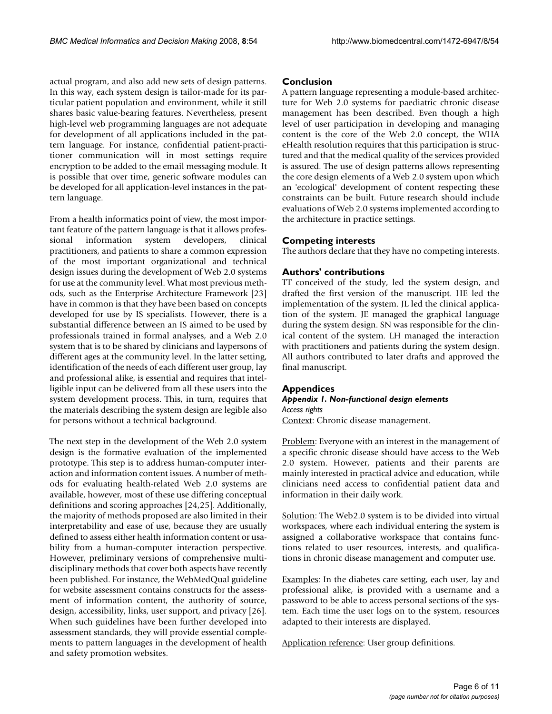actual program, and also add new sets of design patterns. In this way, each system design is tailor-made for its particular patient population and environment, while it still shares basic value-bearing features. Nevertheless, present high-level web programming languages are not adequate for development of all applications included in the pattern language. For instance, confidential patient-practitioner communication will in most settings require encryption to be added to the email messaging module. It is possible that over time, generic software modules can be developed for all application-level instances in the pattern language.

From a health informatics point of view, the most important feature of the pattern language is that it allows professional information system developers, clinical practitioners, and patients to share a common expression of the most important organizational and technical design issues during the development of Web 2.0 systems for use at the community level. What most previous methods, such as the Enterprise Architecture Framework [23] have in common is that they have been based on concepts developed for use by IS specialists. However, there is a substantial difference between an IS aimed to be used by professionals trained in formal analyses, and a Web 2.0 system that is to be shared by clinicians and laypersons of different ages at the community level. In the latter setting, identification of the needs of each different user group, lay and professional alike, is essential and requires that intelligible input can be delivered from all these users into the system development process. This, in turn, requires that the materials describing the system design are legible also for persons without a technical background.

The next step in the development of the Web 2.0 system design is the formative evaluation of the implemented prototype. This step is to address human-computer interaction and information content issues. A number of methods for evaluating health-related Web 2.0 systems are available, however, most of these use differing conceptual definitions and scoring approaches [24,25]. Additionally, the majority of methods proposed are also limited in their interpretability and ease of use, because they are usually defined to assess either health information content or usability from a human-computer interaction perspective. However, preliminary versions of comprehensive multidisciplinary methods that cover both aspects have recently been published. For instance, the WebMedQual guideline for website assessment contains constructs for the assessment of information content, the authority of source, design, accessibility, links, user support, and privacy [26]. When such guidelines have been further developed into assessment standards, they will provide essential complements to pattern languages in the development of health and safety promotion websites.

### **Conclusion**

A pattern language representing a module-based architecture for Web 2.0 systems for paediatric chronic disease management has been described. Even though a high level of user participation in developing and managing content is the core of the Web 2.0 concept, the WHA eHealth resolution requires that this participation is structured and that the medical quality of the services provided is assured. The use of design patterns allows representing the core design elements of a Web 2.0 system upon which an 'ecological' development of content respecting these constraints can be built. Future research should include evaluations of Web 2.0 systems implemented according to the architecture in practice settings.

# **Competing interests**

The authors declare that they have no competing interests.

# **Authors' contributions**

TT conceived of the study, led the system design, and drafted the first version of the manuscript. HE led the implementation of the system. JL led the clinical application of the system. JE managed the graphical language during the system design. SN was responsible for the clinical content of the system. LH managed the interaction with practitioners and patients during the system design. All authors contributed to later drafts and approved the final manuscript.

# **Appendices**

#### *Appendix 1. Non-functional design elements Access rights*

Context: Chronic disease management.

Problem: Everyone with an interest in the management of a specific chronic disease should have access to the Web 2.0 system. However, patients and their parents are mainly interested in practical advice and education, while clinicians need access to confidential patient data and information in their daily work.

Solution: The Web2.0 system is to be divided into virtual workspaces, where each individual entering the system is assigned a collaborative workspace that contains functions related to user resources, interests, and qualifications in chronic disease management and computer use.

Examples: In the diabetes care setting, each user, lay and professional alike, is provided with a username and a password to be able to access personal sections of the system. Each time the user logs on to the system, resources adapted to their interests are displayed.

Application reference: User group definitions.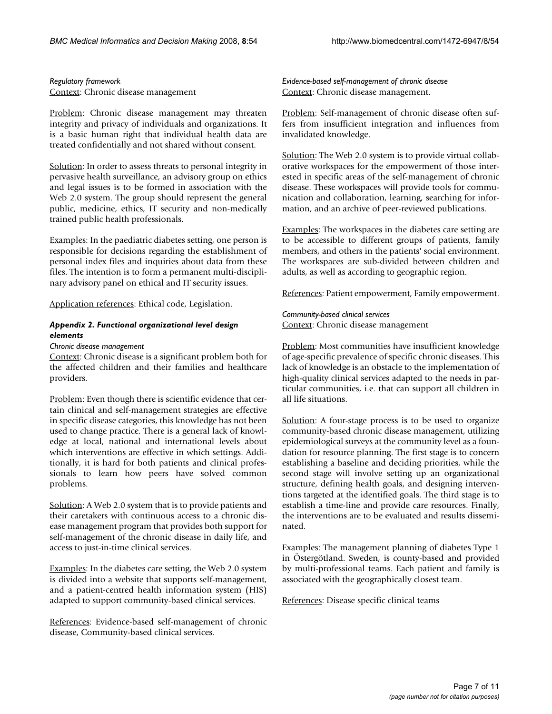*Regulatory framework* Context: Chronic disease management

Problem: Chronic disease management may threaten integrity and privacy of individuals and organizations. It is a basic human right that individual health data are treated confidentially and not shared without consent.

Solution: In order to assess threats to personal integrity in pervasive health surveillance, an advisory group on ethics and legal issues is to be formed in association with the Web 2.0 system. The group should represent the general public, medicine, ethics, IT security and non-medically trained public health professionals.

Examples: In the paediatric diabetes setting, one person is responsible for decisions regarding the establishment of personal index files and inquiries about data from these files. The intention is to form a permanent multi-disciplinary advisory panel on ethical and IT security issues.

Application references: Ethical code, Legislation.

# *Appendix 2. Functional organizational level design elements*

#### *Chronic disease management*

Context: Chronic disease is a significant problem both for the affected children and their families and healthcare providers.

Problem: Even though there is scientific evidence that certain clinical and self-management strategies are effective in specific disease categories, this knowledge has not been used to change practice. There is a general lack of knowledge at local, national and international levels about which interventions are effective in which settings. Additionally, it is hard for both patients and clinical professionals to learn how peers have solved common problems.

Solution: A Web 2.0 system that is to provide patients and their caretakers with continuous access to a chronic disease management program that provides both support for self-management of the chronic disease in daily life, and access to just-in-time clinical services.

Examples: In the diabetes care setting, the Web 2.0 system is divided into a website that supports self-management, and a patient-centred health information system (HIS) adapted to support community-based clinical services.

References: Evidence-based self-management of chronic disease, Community-based clinical services.

*Evidence-based self-management of chronic disease* Context: Chronic disease management.

Problem: Self-management of chronic disease often suffers from insufficient integration and influences from invalidated knowledge.

Solution: The Web 2.0 system is to provide virtual collaborative workspaces for the empowerment of those interested in specific areas of the self-management of chronic disease. These workspaces will provide tools for communication and collaboration, learning, searching for information, and an archive of peer-reviewed publications.

Examples: The workspaces in the diabetes care setting are to be accessible to different groups of patients, family members, and others in the patients' social environment. The workspaces are sub-divided between children and adults, as well as according to geographic region.

References: Patient empowerment, Family empowerment.

*Community-based clinical services* Context: Chronic disease management

Problem: Most communities have insufficient knowledge of age-specific prevalence of specific chronic diseases. This lack of knowledge is an obstacle to the implementation of high-quality clinical services adapted to the needs in particular communities, i.e. that can support all children in all life situations.

Solution: A four-stage process is to be used to organize community-based chronic disease management, utilizing epidemiological surveys at the community level as a foundation for resource planning. The first stage is to concern establishing a baseline and deciding priorities, while the second stage will involve setting up an organizational structure, defining health goals, and designing interventions targeted at the identified goals. The third stage is to establish a time-line and provide care resources. Finally, the interventions are to be evaluated and results disseminated.

Examples: The management planning of diabetes Type 1 in Östergötland. Sweden, is county-based and provided by multi-professional teams. Each patient and family is associated with the geographically closest team.

References: Disease specific clinical teams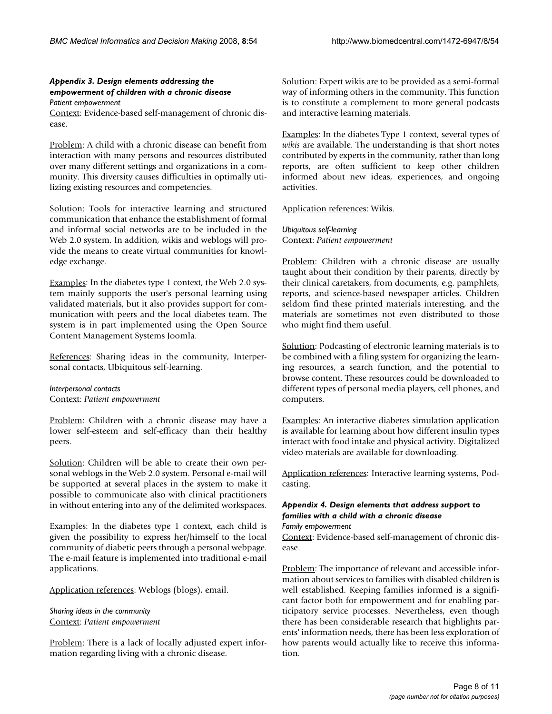#### *Appendix 3. Design elements addressing the empowerment of children with a chronic disease Patient empowerment*

Context: Evidence-based self-management of chronic dis-

ease.

Problem: A child with a chronic disease can benefit from interaction with many persons and resources distributed over many different settings and organizations in a community. This diversity causes difficulties in optimally utilizing existing resources and competencies.

Solution: Tools for interactive learning and structured communication that enhance the establishment of formal and informal social networks are to be included in the Web 2.0 system. In addition, wikis and weblogs will provide the means to create virtual communities for knowledge exchange.

Examples: In the diabetes type 1 context, the Web 2.0 system mainly supports the user's personal learning using validated materials, but it also provides support for communication with peers and the local diabetes team. The system is in part implemented using the Open Source Content Management Systems Joomla.

References: Sharing ideas in the community, Interpersonal contacts, Ubiquitous self-learning.

# *Interpersonal contacts* Context: *Patient empowerment*

Problem: Children with a chronic disease may have a lower self-esteem and self-efficacy than their healthy peers.

Solution: Children will be able to create their own personal weblogs in the Web 2.0 system. Personal e-mail will be supported at several places in the system to make it possible to communicate also with clinical practitioners in without entering into any of the delimited workspaces.

Examples: In the diabetes type 1 context, each child is given the possibility to express her/himself to the local community of diabetic peers through a personal webpage. The e-mail feature is implemented into traditional e-mail applications.

Application references: Weblogs (blogs), email.

# *Sharing ideas in the community* Context: *Patient empowerment*

Problem: There is a lack of locally adjusted expert information regarding living with a chronic disease.

Solution: Expert wikis are to be provided as a semi-formal way of informing others in the community. This function is to constitute a complement to more general podcasts and interactive learning materials.

Examples: In the diabetes Type 1 context, several types of *wikis* are available. The understanding is that short notes contributed by experts in the community, rather than long reports, are often sufficient to keep other children informed about new ideas, experiences, and ongoing activities.

Application references: Wikis.

# *Ubiquitous self-learning* Context: *Patient empowerment*

Problem: Children with a chronic disease are usually taught about their condition by their parents, directly by their clinical caretakers, from documents, e.g. pamphlets, reports, and science-based newspaper articles. Children seldom find these printed materials interesting, and the materials are sometimes not even distributed to those who might find them useful.

Solution: Podcasting of electronic learning materials is to be combined with a filing system for organizing the learning resources, a search function, and the potential to browse content. These resources could be downloaded to different types of personal media players, cell phones, and computers.

Examples: An interactive diabetes simulation application is available for learning about how different insulin types interact with food intake and physical activity. Digitalized video materials are available for downloading.

Application references: Interactive learning systems, Podcasting.

# *Appendix 4. Design elements that address support to families with a child with a chronic disease*

*Family empowerment*

Context: Evidence-based self-management of chronic disease.

Problem: The importance of relevant and accessible information about services to families with disabled children is well established. Keeping families informed is a significant factor both for empowerment and for enabling participatory service processes. Nevertheless, even though there has been considerable research that highlights parents' information needs, there has been less exploration of how parents would actually like to receive this information.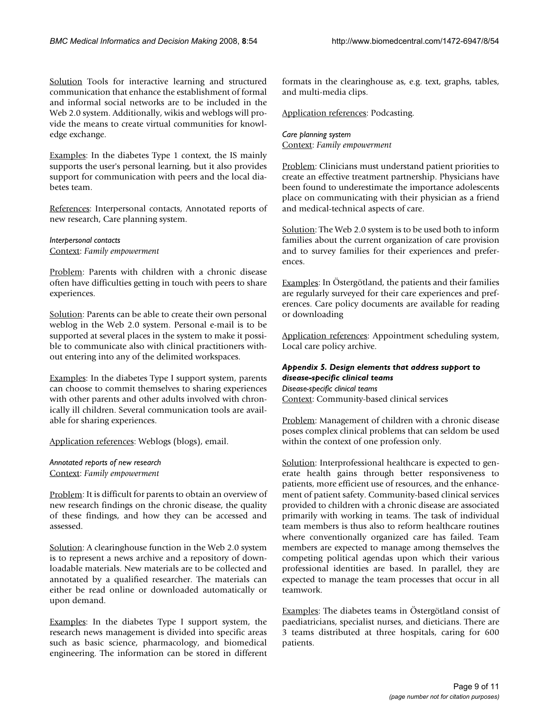Solution Tools for interactive learning and structured communication that enhance the establishment of formal and informal social networks are to be included in the Web 2.0 system. Additionally, wikis and weblogs will provide the means to create virtual communities for knowledge exchange.

Examples: In the diabetes Type 1 context, the IS mainly supports the user's personal learning, but it also provides support for communication with peers and the local diabetes team.

References: Interpersonal contacts, Annotated reports of new research, Care planning system.

### *Interpersonal contacts* Context: *Family empowerment*

Problem: Parents with children with a chronic disease often have difficulties getting in touch with peers to share experiences.

Solution: Parents can be able to create their own personal weblog in the Web 2.0 system. Personal e-mail is to be supported at several places in the system to make it possible to communicate also with clinical practitioners without entering into any of the delimited workspaces.

Examples: In the diabetes Type I support system, parents can choose to commit themselves to sharing experiences with other parents and other adults involved with chronically ill children. Several communication tools are available for sharing experiences.

Application references: Weblogs (blogs), email.

*Annotated reports of new research* Context: *Family empowerment*

Problem: It is difficult for parents to obtain an overview of new research findings on the chronic disease, the quality of these findings, and how they can be accessed and assessed.

Solution: A clearinghouse function in the Web 2.0 system is to represent a news archive and a repository of downloadable materials. New materials are to be collected and annotated by a qualified researcher. The materials can either be read online or downloaded automatically or upon demand.

Examples: In the diabetes Type I support system, the research news management is divided into specific areas such as basic science, pharmacology, and biomedical engineering. The information can be stored in different formats in the clearinghouse as, e.g. text, graphs, tables, and multi-media clips.

Application references: Podcasting.

*Care planning system* Context: *Family empowerment*

Problem: Clinicians must understand patient priorities to create an effective treatment partnership. Physicians have been found to underestimate the importance adolescents place on communicating with their physician as a friend and medical-technical aspects of care.

Solution: The Web 2.0 system is to be used both to inform families about the current organization of care provision and to survey families for their experiences and preferences.

Examples: In Östergötland, the patients and their families are regularly surveyed for their care experiences and preferences. Care policy documents are available for reading or downloading

Application references: Appointment scheduling system, Local care policy archive.

# *Appendix 5. Design elements that address support to disease-specific clinical teams*

*Disease-specific clinical teams* Context: Community-based clinical services

Problem: Management of children with a chronic disease poses complex clinical problems that can seldom be used within the context of one profession only.

Solution: Interprofessional healthcare is expected to generate health gains through better responsiveness to patients, more efficient use of resources, and the enhancement of patient safety. Community-based clinical services provided to children with a chronic disease are associated primarily with working in teams. The task of individual team members is thus also to reform healthcare routines where conventionally organized care has failed. Team members are expected to manage among themselves the competing political agendas upon which their various professional identities are based. In parallel, they are expected to manage the team processes that occur in all teamwork.

Examples: The diabetes teams in Östergötland consist of paediatricians, specialist nurses, and dieticians. There are 3 teams distributed at three hospitals, caring for 600 patients.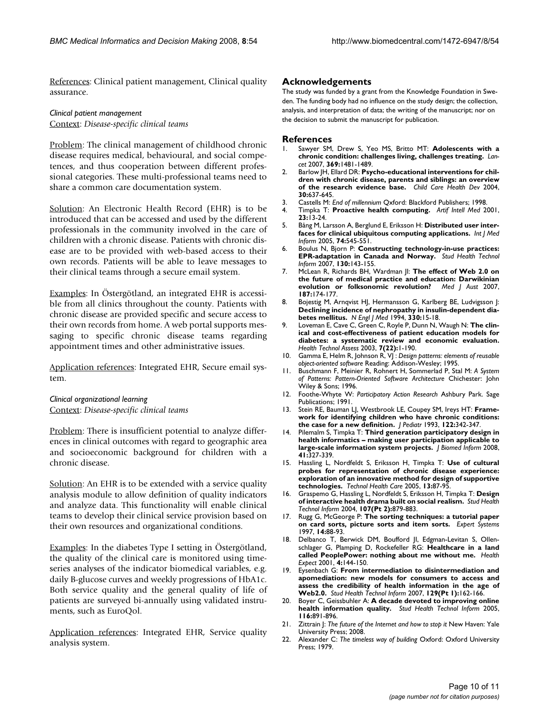References: Clinical patient management, Clinical quality assurance.

#### *Clinical patient management* Context: *Disease-specific clinical teams*

Problem: The clinical management of childhood chronic disease requires medical, behavioural, and social competences, and thus cooperation between different professional categories. These multi-professional teams need to share a common care documentation system.

Solution: An Electronic Health Record (EHR) is to be introduced that can be accessed and used by the different professionals in the community involved in the care of children with a chronic disease. Patients with chronic disease are to be provided with web-based access to their own records. Patients will be able to leave messages to their clinical teams through a secure email system.

Examples: In Östergötland, an integrated EHR is accessible from all clinics throughout the county. Patients with chronic disease are provided specific and secure access to their own records from home. A web portal supports messaging to specific chronic disease teams regarding appointment times and other administrative issues.

Application references: Integrated EHR, Secure email system.

# *Clinical organizational learning* Context: *Disease-specific clinical teams*

Problem: There is insufficient potential to analyze differences in clinical outcomes with regard to geographic area and socioeconomic background for children with a chronic disease.

Solution: An EHR is to be extended with a service quality analysis module to allow definition of quality indicators and analyze data. This functionality will enable clinical teams to develop their clinical service provision based on their own resources and organizational conditions.

Examples: In the diabetes Type I setting in Östergötland, the quality of the clinical care is monitored using timeseries analyses of the indicator biomedical variables, e.g. daily B-glucose curves and weekly progressions of HbA1c. Both service quality and the general quality of life of patients are surveyed bi-annually using validated instruments, such as EuroQol.

Application references: Integrated EHR, Service quality analysis system.

#### **Acknowledgements**

The study was funded by a grant from the Knowledge Foundation in Sweden. The funding body had no influence on the study design; the collection, analysis, and interpretation of data; the writing of the manuscript; nor on the decision to submit the manuscript for publication.

#### **References**

- 1. Sawyer SM, Drew S, Yeo MS, Britto MT: **[Adolescents with a](http://www.ncbi.nlm.nih.gov/entrez/query.fcgi?cmd=Retrieve&db=PubMed&dopt=Abstract&list_uids=17467519) [chronic condition: challenges living, challenges treating.](http://www.ncbi.nlm.nih.gov/entrez/query.fcgi?cmd=Retrieve&db=PubMed&dopt=Abstract&list_uids=17467519)** *Lancet* 2007, **369:**1481-1489.
- 2. Barlow JH, Ellard DR: **[Psycho-educational interventions for chil](http://www.ncbi.nlm.nih.gov/entrez/query.fcgi?cmd=Retrieve&db=PubMed&dopt=Abstract&list_uids=15527474)[dren with chronic disease, parents and siblings: an overview](http://www.ncbi.nlm.nih.gov/entrez/query.fcgi?cmd=Retrieve&db=PubMed&dopt=Abstract&list_uids=15527474) [of the research evidence base.](http://www.ncbi.nlm.nih.gov/entrez/query.fcgi?cmd=Retrieve&db=PubMed&dopt=Abstract&list_uids=15527474)** *Child Care Health Dev* 2004, **30:**637-645.
- 3. Castells M: *End of millennium* Qxford: Blackford Publishers; 1998.
- 4. Timpka T: **[Proactive health computing.](http://www.ncbi.nlm.nih.gov/entrez/query.fcgi?cmd=Retrieve&db=PubMed&dopt=Abstract&list_uids=11470214)** *Artif Intell Med* 2001, **23:**13-24.
- 5. Bång M, Larsson A, Berglund E, Eriksson H: **[Distributed user inter](http://www.ncbi.nlm.nih.gov/entrez/query.fcgi?cmd=Retrieve&db=PubMed&dopt=Abstract&list_uids=16023409)[faces for clinical ubiquitous computing applications.](http://www.ncbi.nlm.nih.gov/entrez/query.fcgi?cmd=Retrieve&db=PubMed&dopt=Abstract&list_uids=16023409)** *Int J Med Inform* 2005, **74:**545-551.
- 6. Boulus N, Bjorn P: **[Constructing technology-in-use practices:](http://www.ncbi.nlm.nih.gov/entrez/query.fcgi?cmd=Retrieve&db=PubMed&dopt=Abstract&list_uids=17917189) [EPR-adaptation in Canada and Norway.](http://www.ncbi.nlm.nih.gov/entrez/query.fcgi?cmd=Retrieve&db=PubMed&dopt=Abstract&list_uids=17917189)** *Stud Health Technol Inform* 2007, **130:**143-155.
- 7. McLean R, Richards BH, Wardman JI: **[The effect of Web 2.0 on](http://www.ncbi.nlm.nih.gov/entrez/query.fcgi?cmd=Retrieve&db=PubMed&dopt=Abstract&list_uids=17680746) [the future of medical practice and education: Darwikinian](http://www.ncbi.nlm.nih.gov/entrez/query.fcgi?cmd=Retrieve&db=PubMed&dopt=Abstract&list_uids=17680746) [evolution or folksonomic revolution?](http://www.ncbi.nlm.nih.gov/entrez/query.fcgi?cmd=Retrieve&db=PubMed&dopt=Abstract&list_uids=17680746)** *Med J Aust* 2007, **187:**174-177.
- 8. Bojestig M, Arnqvist HJ, Hermansson G, Karlberg BE, Ludvigsson J: **[Declining incidence of nephropathy in insulin-dependent dia](http://www.ncbi.nlm.nih.gov/entrez/query.fcgi?cmd=Retrieve&db=PubMed&dopt=Abstract&list_uids=8259139)[betes mellitus.](http://www.ncbi.nlm.nih.gov/entrez/query.fcgi?cmd=Retrieve&db=PubMed&dopt=Abstract&list_uids=8259139)** *N Engl J Med* 1994, **330:**15-18.
- 9. Loveman E, Cave C, Green C, Royle P, Dunn N, Waugh N: **The clinical and cost-effectiveness of patient education models for diabetes: a systematic review and economic evaluation.** *Health Technol Assess* 2003, **7(22):**1-190.
- 10. Gamma E, Helm R, Johnson R, VJ : *Design patterns: elements of reusable object-oriented software* Reading: Addison-Wesley; 1995.
- 11. Buschmann F, Meinier R, Rohnert H, Sommerlad P, Stal M: *A System of Patterns: Pattern-Oriented Software Architecture* Chichester: John Wiley & Sons; 1996.
- 12. Foothe-Whyte W: *Participatory Action Research* Ashbury Park. Sage Publications; 1991.
- 13. Stein RE, Bauman LJ, Westbrook LE, Coupey SM, Ireys HT: **[Frame](http://www.ncbi.nlm.nih.gov/entrez/query.fcgi?cmd=Retrieve&db=PubMed&dopt=Abstract&list_uids=8441085)[work for identifying children who have chronic conditions:](http://www.ncbi.nlm.nih.gov/entrez/query.fcgi?cmd=Retrieve&db=PubMed&dopt=Abstract&list_uids=8441085) [the case for a new definition.](http://www.ncbi.nlm.nih.gov/entrez/query.fcgi?cmd=Retrieve&db=PubMed&dopt=Abstract&list_uids=8441085)** *J Pediatr* 1993, **122:**342-347.
- 14. Pilemalm S, Timpka T: **[Third generation participatory design in](http://www.ncbi.nlm.nih.gov/entrez/query.fcgi?cmd=Retrieve&db=PubMed&dopt=Abstract&list_uids=17981514) [health informatics – making user participation applicable to](http://www.ncbi.nlm.nih.gov/entrez/query.fcgi?cmd=Retrieve&db=PubMed&dopt=Abstract&list_uids=17981514) [large-scale information system projects.](http://www.ncbi.nlm.nih.gov/entrez/query.fcgi?cmd=Retrieve&db=PubMed&dopt=Abstract&list_uids=17981514)** *J Biomed Inform* 2008, **41:**327-339.
- 15. Hassling L, Nordfeldt S, Eriksson H, Timpka T: **[Use of cultural](http://www.ncbi.nlm.nih.gov/entrez/query.fcgi?cmd=Retrieve&db=PubMed&dopt=Abstract&list_uids=15912006) [probes for representation of chronic disease experience:](http://www.ncbi.nlm.nih.gov/entrez/query.fcgi?cmd=Retrieve&db=PubMed&dopt=Abstract&list_uids=15912006) exploration of an innovative method for design of supportive [technologies.](http://www.ncbi.nlm.nih.gov/entrez/query.fcgi?cmd=Retrieve&db=PubMed&dopt=Abstract&list_uids=15912006)** *Technol Health Care* 2005, **13:**87-95.
- 16. Graspemo G, Hassling L, Nordfeldt S, Eriksson H, Timpka T: **[Design](http://www.ncbi.nlm.nih.gov/entrez/query.fcgi?cmd=Retrieve&db=PubMed&dopt=Abstract&list_uids=15360938) [of interactive health drama built on social realism.](http://www.ncbi.nlm.nih.gov/entrez/query.fcgi?cmd=Retrieve&db=PubMed&dopt=Abstract&list_uids=15360938)** *Stud Health Technol Inform* 2004, **107(Pt 2):**879-883.
- 17. Rugg G, McGeorge P: **The sorting techniques: a tutorial paper on card sorts, picture sorts and item sorts.** *Expert Systems* 1997, **14:**88-93.
- 18. Delbanco T, Berwick DM, Boufford JI, Edgman-Levitan S, Ollenschlager G, Plamping D, Rockefeller RG: **[Healthcare in a land](http://www.ncbi.nlm.nih.gov/entrez/query.fcgi?cmd=Retrieve&db=PubMed&dopt=Abstract&list_uids=11493320) [called PeoplePower: nothing about me without me.](http://www.ncbi.nlm.nih.gov/entrez/query.fcgi?cmd=Retrieve&db=PubMed&dopt=Abstract&list_uids=11493320)** *Health Expect* 2001, **4:**144-150.
- 19. Eysenbach G: **[From intermediation to disintermediation and](http://www.ncbi.nlm.nih.gov/entrez/query.fcgi?cmd=Retrieve&db=PubMed&dopt=Abstract&list_uids=17911699) [apomediation: new models for consumers to access and](http://www.ncbi.nlm.nih.gov/entrez/query.fcgi?cmd=Retrieve&db=PubMed&dopt=Abstract&list_uids=17911699) assess the credibility of health information in the age of [Web2.0.](http://www.ncbi.nlm.nih.gov/entrez/query.fcgi?cmd=Retrieve&db=PubMed&dopt=Abstract&list_uids=17911699)** *Stud Health Technol Inform* 2007, **129(Pt 1):**162-166.
- 20. Boyer C, Geissbuhler A: **[A decade devoted to improving online](http://www.ncbi.nlm.nih.gov/entrez/query.fcgi?cmd=Retrieve&db=PubMed&dopt=Abstract&list_uids=16160371) [health information quality.](http://www.ncbi.nlm.nih.gov/entrez/query.fcgi?cmd=Retrieve&db=PubMed&dopt=Abstract&list_uids=16160371)** *Stud Health Technol Inform* 2005, **116:**891-896.
- 21. Zittrain J: *The future of the Internet and how to stop it* New Haven: Yale University Press; 2008.
- 22. Alexander C: *The timeless way of building* Oxford: Oxford University Press; 1979.